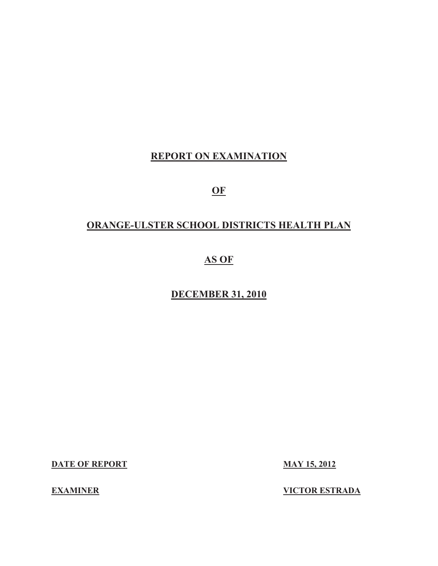## **REPORT ON EXAMINATION**

**OF** 

# **ORANGE-ULSTER SCHOOL DISTRICTS HEALTH PLAN**

## **AS OF**

# **DECEMBER 31, 2010**

**DATE OF REPORT MAY 15, 2013 PM 15, 2013 PM 15, 2013 PM 15, 2013 PM 15, 2013 PM 15, 2013 PM 15, 2013** 

**EXAMINER VICTOR CONSUMING SERVICES**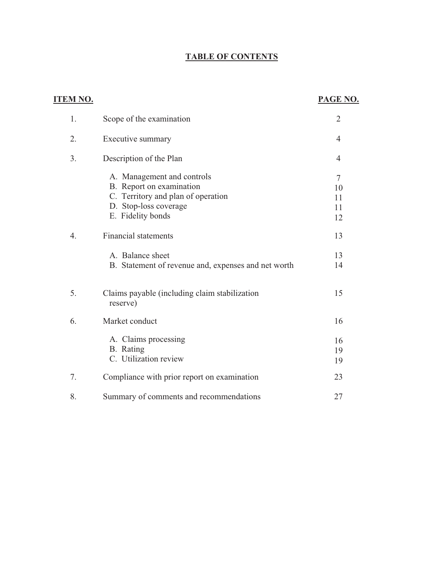### **TABLE OF CONTENTS**

| <u>ITEM NO.</u> |                                                                                                                                            | <b>PAGE NO.</b>                        |
|-----------------|--------------------------------------------------------------------------------------------------------------------------------------------|----------------------------------------|
| 1.              | Scope of the examination                                                                                                                   | $\overline{2}$                         |
| 2.              | Executive summary                                                                                                                          | $\overline{4}$                         |
| 3.              | Description of the Plan                                                                                                                    | 4                                      |
|                 | A. Management and controls<br>B. Report on examination<br>C. Territory and plan of operation<br>D. Stop-loss coverage<br>E. Fidelity bonds | $\overline{7}$<br>10<br>11<br>11<br>12 |
| 4.              | <b>Financial statements</b>                                                                                                                | 13                                     |
|                 | A. Balance sheet<br>B. Statement of revenue and, expenses and net worth                                                                    | 13<br>14                               |
| 5.              | Claims payable (including claim stabilization<br>reserve)                                                                                  | 15                                     |
| 6.              | Market conduct                                                                                                                             | 16                                     |
|                 | A. Claims processing<br>B. Rating<br>C. Utilization review                                                                                 | 16<br>19<br>19                         |
| 7.              | Compliance with prior report on examination                                                                                                | 23                                     |
| 8.              | Summary of comments and recommendations                                                                                                    | 27                                     |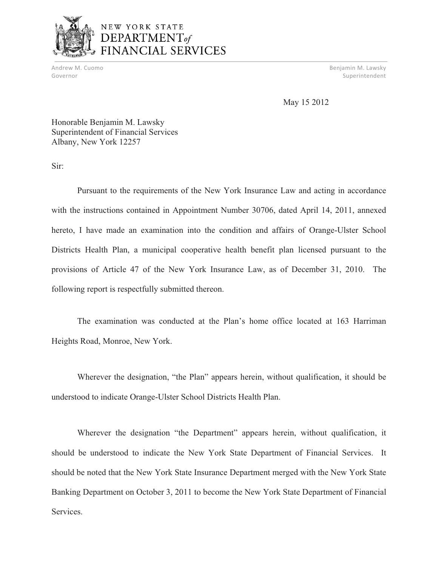

## NEW YORK STATE DEPARTMENT<sub>of</sub> FINANCIAL SERVICES

Andrew M. Cuomo **Benjamin M. Lawsky** Governor Superintendent and Superintendent and Superintendent and Superintendent and Superintendent and Superintendent

May 15 2012

Honorable Benjamin M. Lawsky Superintendent of Financial Services Albany, New York 12257

Sir:

Pursuant to the requirements of the New York Insurance Law and acting in accordance with the instructions contained in Appointment Number 30706, dated April 14, 2011, annexed hereto, I have made an examination into the condition and affairs of Orange-Ulster School Districts Health Plan, a municipal cooperative health benefit plan licensed pursuant to the provisions of Article 47 of the New York Insurance Law, as of December 31, 2010. The following report is respectfully submitted thereon.

The examination was conducted at the Plan's home office located at 163 Harriman Heights Road, Monroe, New York.

Wherever the designation, "the Plan" appears herein, without qualification, it should be understood to indicate Orange-Ulster School Districts Health Plan.

Wherever the designation "the Department" appears herein, without qualification, it should be understood to indicate the New York State Department of Financial Services. It should be noted that the New York State Insurance Department merged with the New York State Banking Department on October 3, 2011 to become the New York State Department of Financial Services.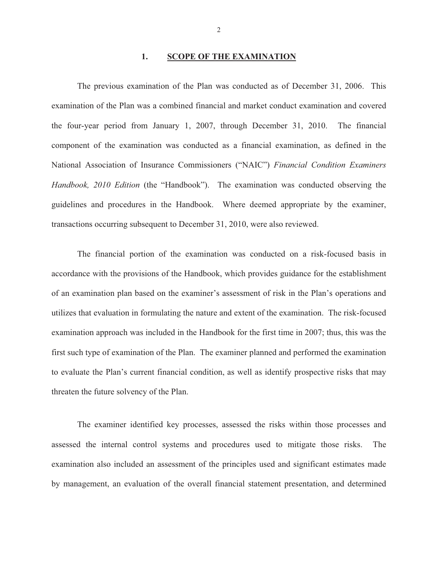#### 1. **1. SCORE OF THE EXAMINATION**

The previous examination of the Plan was conducted as of December 31, 2006. This examination of the Plan was a combined financial and market conduct examination and covered the four-year period from January 1, 2007, through December 31, 2010. The financial component of the examination was conducted as a financial examination, as defined in the National Association of Insurance Commissioners ("NAIC") *Financial Condition Examiners Handbook, 2010 Edition* (the "Handbook"). The examination was conducted observing the guidelines and procedures in the Handbook. Where deemed appropriate by the examiner, transactions occurring subsequent to December 31, 2010, were also reviewed.

The financial portion of the examination was conducted on a risk-focused basis in accordance with the provisions of the Handbook, which provides guidance for the establishment of an examination plan based on the examiner's assessment of risk in the Plan's operations and utilizes that evaluation in formulating the nature and extent of the examination. The risk-focused examination approach was included in the Handbook for the first time in 2007; thus, this was the first such type of examination of the Plan. The examiner planned and performed the examination to evaluate the Plan's current financial condition, as well as identify prospective risks that may threaten the future solvency of the Plan.

The examiner identified key processes, assessed the risks within those processes and assessed the internal control systems and procedures used to mitigate those risks. The examination also included an assessment of the principles used and significant estimates made by management, an evaluation of the overall financial statement presentation, and determined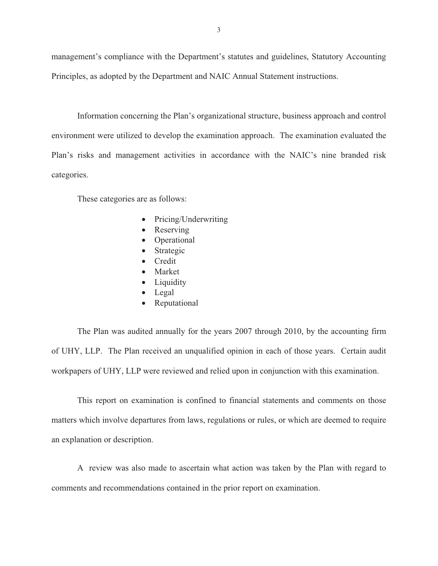management's compliance with the Department's statutes and guidelines, Statutory Accounting Principles, as adopted by the Department and NAIC Annual Statement instructions.

Information concerning the Plan's organizational structure, business approach and control environment were utilized to develop the examination approach. The examination evaluated the Plan's risks and management activities in accordance with the NAIC's nine branded risk categories.

These categories are as follows:

- Pricing/Underwriting
- Reserving
- Operational
- Strategic
- Credit
- Market
- Liquidity
- Legal
- Reputational

The Plan was audited annually for the years 2007 through 2010, by the accounting firm of UHY, LLP. The Plan received an unqualified opinion in each of those years. Certain audit workpapers of UHY, LLP were reviewed and relied upon in conjunction with this examination.

This report on examination is confined to financial statements and comments on those matters which involve departures from laws, regulations or rules, or which are deemed to require an explanation or description.

A review was also made to ascertain what action was taken by the Plan with regard to comments and recommendations contained in the prior report on examination.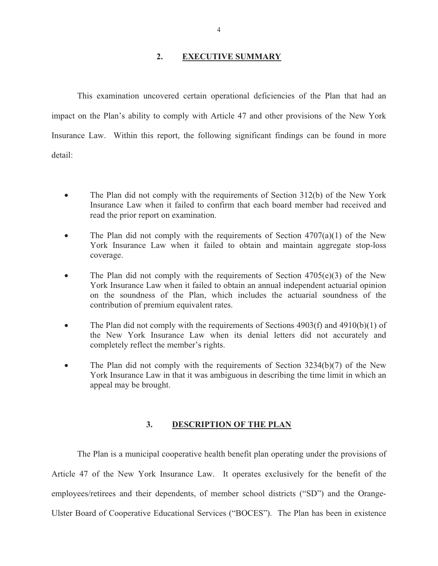### $2.$ **2. Executive Summary**

This examination uncovered certain operational deficiencies of the Plan that had an impact on the Plan's ability to comply with Article 47 and other provisions of the New York Insurance Law. Within this report, the following significant findings can be found in more detail:

- $\bullet$  The Plan did not comply with the requirements of Section 312(b) of the New York Insurance Law when it failed to confirm that each board member had received and read the prior report on examination.
- $\bullet$ The Plan did not comply with the requirements of Section  $4707(a)(1)$  of the New York Insurance Law when it failed to obtain and maintain aggregate stop-loss coverage.
- -The Plan did not comply with the requirements of Section  $4705(e)(3)$  of the New York Insurance Law when it failed to obtain an annual independent actuarial opinion on the soundness of the Plan, which includes the actuarial soundness of the contribution of premium equivalent rates.
- $\bullet$  The Plan did not comply with the requirements of Sections 4903(f) and 4910(b)(1) of the New York Insurance Law when its denial letters did not accurately and completely reflect the member's rights.
- - The Plan did not comply with the requirements of Section 3234(b)(7) of the New York Insurance Law in that it was ambiguous in describing the time limit in which an appeal may be brought.

### $3.$ **3. DESCRIPTION OF THE PLAN A**

The Plan is a municipal cooperative health benefit plan operating under the provisions of Article 47 of the New York Insurance Law. It operates exclusively for the benefit of the employees/retirees and their dependents, of member school districts ("SD") and the Orange-Ulster Board of Cooperative Educational Services ("BOCES"). The Plan has been in existence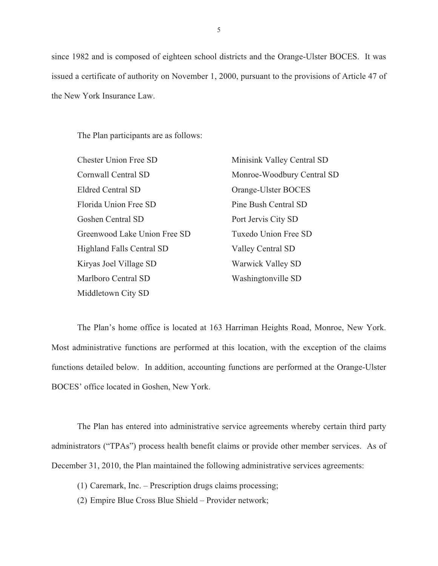since 1982 and is composed of eighteen school districts and the Orange-Ulster BOCES. It was issued a certificate of authority on November 1, 2000, pursuant to the provisions of Article 47 of the New York Insurance Law.

The Plan participants are as follows:

| <b>Chester Union Free SD</b>     | Minisink Valley Central SD |
|----------------------------------|----------------------------|
| Cornwall Central SD              | Monroe-Woodbury Central SD |
| <b>Eldred Central SD</b>         | Orange-Ulster BOCES        |
| Florida Union Free SD            | Pine Bush Central SD       |
| Goshen Central SD                | Port Jervis City SD        |
| Greenwood Lake Union Free SD     | Tuxedo Union Free SD       |
| <b>Highland Falls Central SD</b> | <b>Valley Central SD</b>   |
| Kiryas Joel Village SD           | Warwick Valley SD          |
| Marlboro Central SD              | Washingtonville SD         |
| Middletown City SD               |                            |

The Plan's home office is located at 163 Harriman Heights Road, Monroe, New York. Most administrative functions are performed at this location, with the exception of the claims functions detailed below. In addition, accounting functions are performed at the Orange-Ulster BOCES' office located in Goshen, New York.

The Plan has entered into administrative service agreements whereby certain third party administrators ("TPAs") process health benefit claims or provide other member services. As of December 31, 2010, the Plan maintained the following administrative services agreements:

(1) Caremark, Inc. – Prescription drugs claims processing;

(2) Empire Blue Cross Blue Shield – Provider network;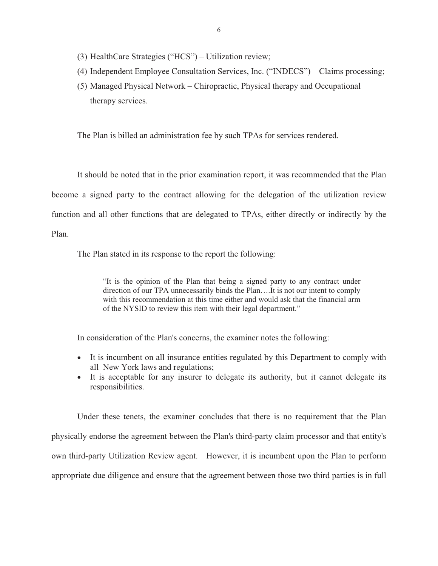- (3) HealthCare Strategies ("HCS") Utilization review;
- (4) Independent Employee Consultation Services, Inc. ("INDECS") Claims processing;
- (5) Managed Physical Network Chiropractic, Physical therapy and Occupational therapy services.

The Plan is billed an administration fee by such TPAs for services rendered.

It should be noted that in the prior examination report, it was recommended that the Plan become a signed party to the contract allowing for the delegation of the utilization review function and all other functions that are delegated to TPAs, either directly or indirectly by the Plan.

The Plan stated in its response to the report the following:

"It is the opinion of the Plan that being a signed party to any contract under direction of our TPA unnecessarily binds the [Plan….It](https://Plan�.It) is not our intent to comply with this recommendation at this time either and would ask that the financial arm of the NYSID to review this item with their legal department."

In consideration of the Plan's concerns, the examiner notes the following:

- It is incumbent on all insurance entities regulated by this Department to comply with all New York laws and regulations;
- $\bullet$  It is acceptable for any insurer to delegate its authority, but it cannot delegate its responsibilities.

Under these tenets, the examiner concludes that there is no requirement that the Plan physically endorse the agreement between the Plan's third-party claim processor and that entity's own third-party Utilization Review agent. However, it is incumbent upon the Plan to perform appropriate due diligence and ensure that the agreement between those two third parties is in full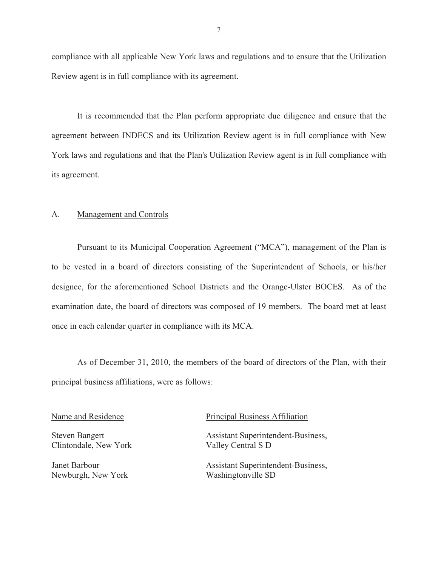compliance with all applicable New York laws and regulations and to ensure that the Utilization Review agent is in full compliance with its agreement.

It is recommended that the Plan perform appropriate due diligence and ensure that the agreement between INDECS and its Utilization Review agent is in full compliance with New York laws and regulations and that the Plan's Utilization Review agent is in full compliance with its agreement.

### A. Management and Controls

Pursuant to its Municipal Cooperation Agreement ("MCA"), management of the Plan is to be vested in a board of directors consisting of the Superintendent of Schools, or his/her designee, for the aforementioned School Districts and the Orange-Ulster BOCES. As of the examination date, the board of directors was composed of 19 members. The board met at least once in each calendar quarter in compliance with its MCA.

As of December 31, 2010, the members of the board of directors of the Plan, with their principal business affiliations, were as follows:

Clintondale, New York Valley Central S D

Newburgh, New York Washingtonville SD

### Name and Residence Principal Business Affiliation

Steven Bangert Assistant Superintendent-Business,

Janet Barbour Assistant Superintendent-Business,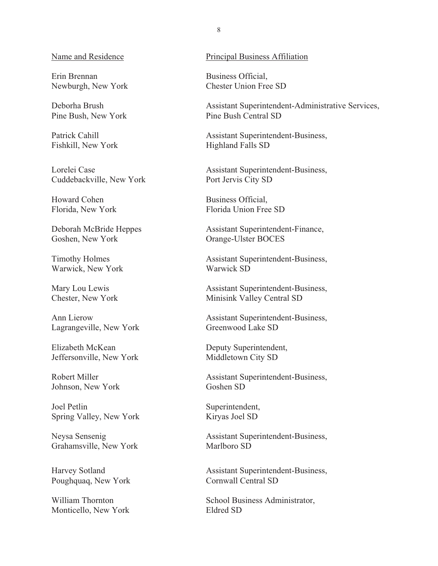Newburgh, New York Erin Brennan

Deborha Brush Pine Bush, New York

Patrick Cahill Fishkill, New York

Lorelei Case Cuddebackville, New York

Howard Cohen Florida, New York

Deborah McBride Heppes Goshen, New York

Timothy Holmes Warwick, New York

Mary Lou Lewis Chester, New York

Ann Lierow Lagrangeville, New York

Elizabeth McKean Jeffersonville, New York

Robert Miller Johnson, New York

Joel Petlin Spring Valley, New York

Neysa Sensenig Grahamsville, New York

Harvey Sotland Poughquaq, New York

 William Thornton Monticello, New York

### Name and Residence Principal Business Affiliation

 Business Official, Chester Union Free SD

 Assistant Superintendent-Administrative Services, Pine Bush Central SD

 Assistant Superintendent-Business, Highland Falls SD

 Assistant Superintendent-Business, Port Jervis City SD

 Business Official, Florida Union Free SD

Assistant Superintendent-Finance, Orange-Ulster BOCES

 Assistant Superintendent-Business, Warwick SD

 Assistant Superintendent-Business, Minisink Valley Central SD

 Assistant Superintendent-Business, Greenwood Lake SD

 Deputy Superintendent, Middletown City SD

 Assistant Superintendent-Business, Goshen SD

Superintendent, Kiryas Joel SD

 Assistant Superintendent-Business, Marlboro SD

 Assistant Superintendent-Business, Cornwall Central SD

 School Business Administrator, Eldred SD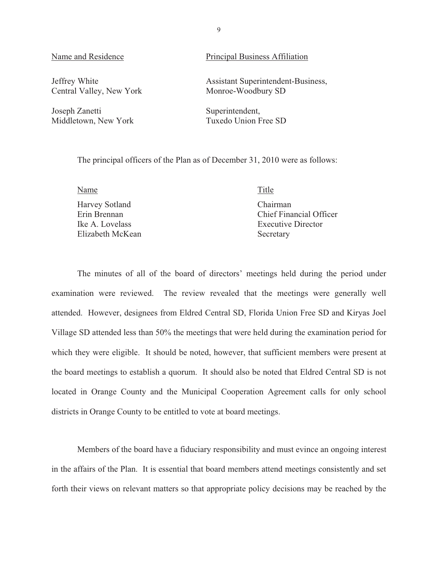Jeffrey White Central Valley, New York

Joseph Zanetti Middletown, New York

### Name and Residence Principal Business Affiliation

 Assistant Superintendent-Business, Monroe-Woodbury SD

Superintendent, Tuxedo Union Free SD

The principal officers of the Plan as of December 31, 2010 were as follows:

Name Title

Harvey Sotland Chairman Elizabeth McKean Secretary

Erin Brennan Chief Financial Officer Ike A. Lovelass Executive Director

The minutes of all of the board of directors' meetings held during the period under examination were reviewed. The review revealed that the meetings were generally well attended. However, designees from Eldred Central SD, Florida Union Free SD and Kiryas Joel Village SD attended less than 50% the meetings that were held during the examination period for which they were eligible. It should be noted, however, that sufficient members were present at the board meetings to establish a quorum. It should also be noted that Eldred Central SD is not located in Orange County and the Municipal Cooperation Agreement calls for only school districts in Orange County to be entitled to vote at board meetings.

Members of the board have a fiduciary responsibility and must evince an ongoing interest in the affairs of the Plan. It is essential that board members attend meetings consistently and set forth their views on relevant matters so that appropriate policy decisions may be reached by the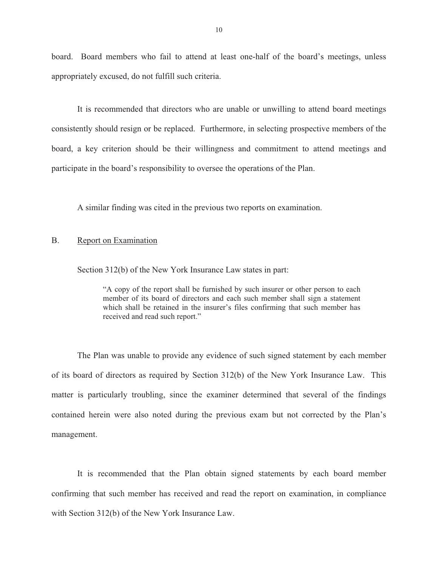board. Board members who fail to attend at least one-half of the board's meetings, unless appropriately excused, do not fulfill such criteria.

It is recommended that directors who are unable or unwilling to attend board meetings consistently should resign or be replaced. Furthermore, in selecting prospective members of the board, a key criterion should be their willingness and commitment to attend meetings and participate in the board's responsibility to oversee the operations of the Plan.

A similar finding was cited in the previous two reports on examination.

### B. Report on Examination

Section 312(b) of the New York Insurance Law states in part:

"A copy of the report shall be furnished by such insurer or other person to each member of its board of directors and each such member shall sign a statement which shall be retained in the insurer's files confirming that such member has received and read such report."

The Plan was unable to provide any evidence of such signed statement by each member of its board of directors as required by Section 312(b) of the New York Insurance Law. This matter is particularly troubling, since the examiner determined that several of the findings contained herein were also noted during the previous exam but not corrected by the Plan's management.

It is recommended that the Plan obtain signed statements by each board member confirming that such member has received and read the report on examination, in compliance with Section 312(b) of the New York Insurance Law.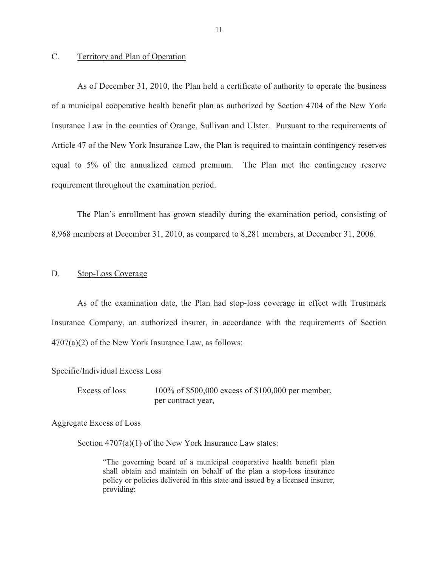### C. Territory and Plan of Operation

As of December 31, 2010, the Plan held a certificate of authority to operate the business of a municipal cooperative health benefit plan as authorized by Section 4704 of the New York Insurance Law in the counties of Orange, Sullivan and Ulster. Pursuant to the requirements of Article 47 of the New York Insurance Law, the Plan is required to maintain contingency reserves equal to 5% of the annualized earned premium. The Plan met the contingency reserve requirement throughout the examination period.

The Plan's enrollment has grown steadily during the examination period, consisting of 8,968 members at December 31, 2010, as compared to 8,281 members, at December 31, 2006.

### D. Stop-Loss Coverage

As of the examination date, the Plan had stop-loss coverage in effect with Trustmark Insurance Company, an authorized insurer, in accordance with the requirements of Section 4707(a)(2) of the New York Insurance Law, as follows:

### Specific/Individual Excess Loss

Excess of loss 100% of \$500,000 excess of \$100,000 per member, per contract year,

### Aggregate Excess of Loss

Section  $4707(a)(1)$  of the New York Insurance Law states:

"The governing board of a municipal cooperative health benefit plan shall obtain and maintain on behalf of the plan a stop-loss insurance policy or policies delivered in this state and issued by a licensed insurer, providing: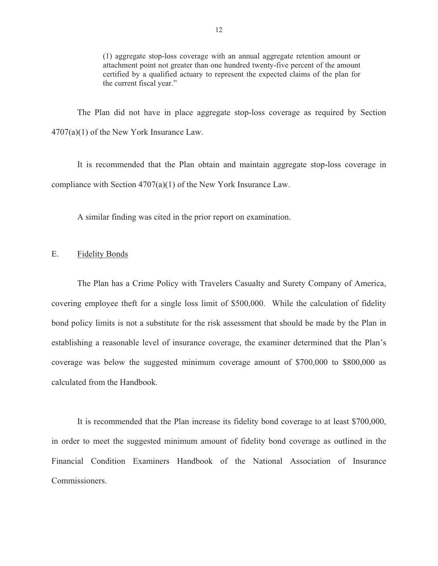(1) aggregate stop-loss coverage with an annual aggregate retention amount or attachment point not greater than one hundred twenty-five percent of the amount certified by a qualified actuary to represent the expected claims of the plan for the current fiscal year."

The Plan did not have in place aggregate stop-loss coverage as required by Section 4707(a)(1) of the New York Insurance Law.

It is recommended that the Plan obtain and maintain aggregate stop-loss coverage in compliance with Section 4707(a)(1) of the New York Insurance Law.

A similar finding was cited in the prior report on examination.

### E. Fidelity Bonds

The Plan has a Crime Policy with Travelers Casualty and Surety Company of America, covering employee theft for a single loss limit of \$500,000. While the calculation of fidelity bond policy limits is not a substitute for the risk assessment that should be made by the Plan in establishing a reasonable level of insurance coverage, the examiner determined that the Plan's coverage was below the suggested minimum coverage amount of \$700,000 to \$800,000 as calculated from the Handbook.

It is recommended that the Plan increase its fidelity bond coverage to at least \$700,000, in order to meet the suggested minimum amount of fidelity bond coverage as outlined in the Financial Condition Examiners Handbook of the National Association of Insurance Commissioners.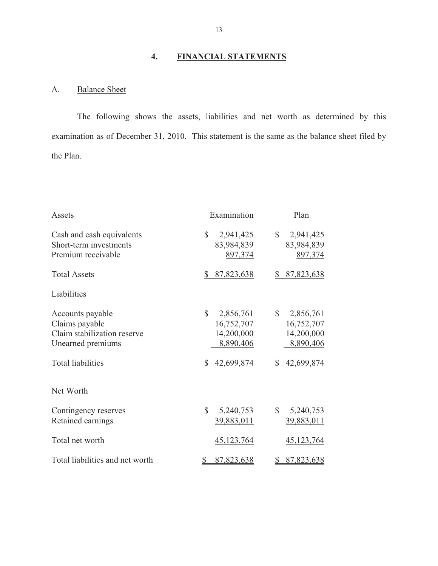### **4. FINANCIAL STATEMENTS**

### A. Balance Sheet

The following shows the assets, liabilities and net worth as determined by this examination as of December 31, 2010. This statement is the same as the balance sheet filed by the Plan.

| Assets                                                                                                             | Examination                                                                           | Plan                                                                        |
|--------------------------------------------------------------------------------------------------------------------|---------------------------------------------------------------------------------------|-----------------------------------------------------------------------------|
| Cash and cash equivalents<br>Short-term investments<br>Premium receivable                                          | $\mathbb{S}$<br>2,941,425<br>83,984,839<br>897,374                                    | $\mathbb{S}$<br>2,941,425<br>83,984,839<br>897,374                          |
| <b>Total Assets</b>                                                                                                | 87,823,638                                                                            | 87,823,638                                                                  |
| Liabilities                                                                                                        |                                                                                       |                                                                             |
| Accounts payable<br>Claims payable<br>Claim stabilization reserve<br>Unearned premiums<br><b>Total liabilities</b> | $\mathbb{S}$<br>2,856,761<br>16,752,707<br>14,200,000<br>8,890,406<br>42,699,874<br>S | \$<br>2,856,761<br>16,752,707<br>14,200,000<br>8,890,406<br>42,699,874<br>S |
| Net Worth                                                                                                          |                                                                                       |                                                                             |
| Contingency reserves<br>Retained earnings                                                                          | $\mathbb{S}$<br>5,240,753<br>39,883,011                                               | 5,240,753<br>$\mathbb{S}^-$<br>39,883,011                                   |
| Total net worth                                                                                                    | 45,123,764                                                                            | 45,123,764                                                                  |
| Total liabilities and net worth                                                                                    | 87,823,638<br>$\mathbb{S}$                                                            | 87,823,638<br>S.                                                            |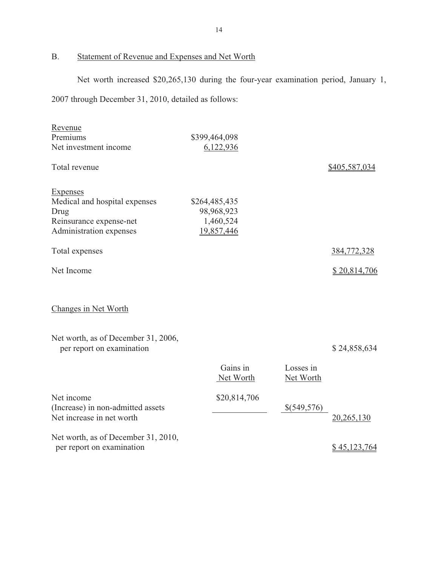B. Statement of Revenue and Expenses and Net Worth

Net worth increased \$20,265,130 during the four-year examination period, January 1,

2007 through December 31, 2010, detailed as follows:

| Revenue<br>Premiums<br>Net investment income                                                                   | \$399,464,098<br>6,122,936                             |                        |               |
|----------------------------------------------------------------------------------------------------------------|--------------------------------------------------------|------------------------|---------------|
| Total revenue                                                                                                  |                                                        |                        | \$405,587,034 |
| <b>Expenses</b><br>Medical and hospital expenses<br>Drug<br>Reinsurance expense-net<br>Administration expenses | \$264,485,435<br>98,968,923<br>1,460,524<br>19,857,446 |                        |               |
| Total expenses                                                                                                 |                                                        |                        | 384,772,328   |
| Net Income                                                                                                     |                                                        |                        | \$20,814,706  |
| Changes in Net Worth                                                                                           |                                                        |                        |               |
| Net worth, as of December 31, 2006,<br>per report on examination                                               |                                                        |                        | \$24,858,634  |
|                                                                                                                | Gains in<br>Net Worth                                  | Losses in<br>Net Worth |               |
| Net income<br>(Increase) in non-admitted assets<br>Net increase in net worth                                   | \$20,814,706                                           | \$(549,576)            | 20,265,130    |
| Net worth, as of December 31, 2010,<br>per report on examination                                               |                                                        |                        | \$45,123,764  |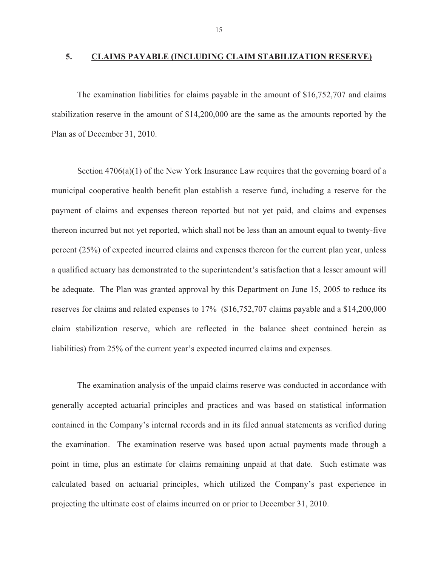# **5. CLAIMS PAYABLE (INCLUDING CLAIM STABILIZATION RESERVE)**

The examination liabilities for claims payable in the amount of \$16,752,707 and claims stabilization reserve in the amount of \$14,200,000 are the same as the amounts reported by the Plan as of December 31, 2010.

Section 4706(a)(1) of the New York Insurance Law requires that the governing board of a municipal cooperative health benefit plan establish a reserve fund, including a reserve for the payment of claims and expenses thereon reported but not yet paid, and claims and expenses thereon incurred but not yet reported, which shall not be less than an amount equal to twenty-five percent (25%) of expected incurred claims and expenses thereon for the current plan year, unless a qualified actuary has demonstrated to the superintendent's satisfaction that a lesser amount will be adequate. The Plan was granted approval by this Department on June 15, 2005 to reduce its reserves for claims and related expenses to 17% (\$16,752,707 claims payable and a \$14,200,000 claim stabilization reserve, which are reflected in the balance sheet contained herein as liabilities) from 25% of the current year's expected incurred claims and expenses.

The examination analysis of the unpaid claims reserve was conducted in accordance with generally accepted actuarial principles and practices and was based on statistical information contained in the Company's internal records and in its filed annual statements as verified during the examination. The examination reserve was based upon actual payments made through a point in time, plus an estimate for claims remaining unpaid at that date. Such estimate was calculated based on actuarial principles, which utilized the Company's past experience in projecting the ultimate cost of claims incurred on or prior to December 31, 2010.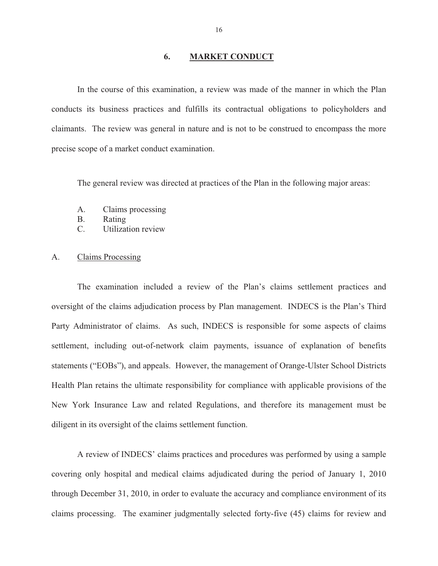### 6. **6. Market Conduct 200**

In the course of this examination, a review was made of the manner in which the Plan conducts its business practices and fulfills its contractual obligations to policyholders and claimants. The review was general in nature and is not to be construed to encompass the more precise scope of a market conduct examination.

The general review was directed at practices of the Plan in the following major areas:

- A. Claims processing
- B. Rating
- C. Utilization review

### A. Claims Processing

The examination included a review of the Plan's claims settlement practices and oversight of the claims adjudication process by Plan management. INDECS is the Plan's Third Party Administrator of claims. As such, INDECS is responsible for some aspects of claims settlement, including out-of-network claim payments, issuance of explanation of benefits statements ("EOBs"), and appeals. However, the management of Orange-Ulster School Districts Health Plan retains the ultimate responsibility for compliance with applicable provisions of the New York Insurance Law and related Regulations, and therefore its management must be diligent in its oversight of the claims settlement function.

A review of INDECS' claims practices and procedures was performed by using a sample covering only hospital and medical claims adjudicated during the period of January 1, 2010 through December 31, 2010, in order to evaluate the accuracy and compliance environment of its claims processing. The examiner judgmentally selected forty-five (45) claims for review and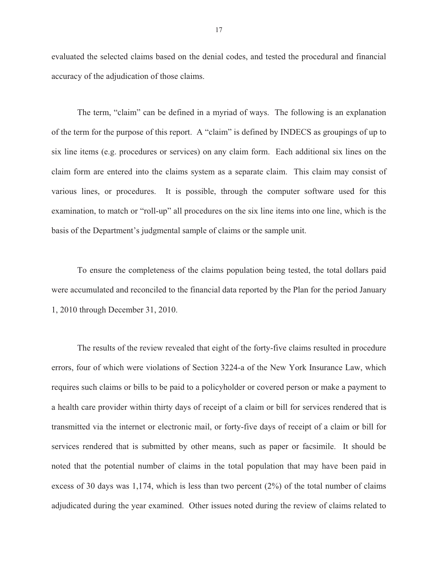evaluated the selected claims based on the denial codes, and tested the procedural and financial accuracy of the adjudication of those claims.

The term, "claim" can be defined in a myriad of ways. The following is an explanation of the term for the purpose of this report. A "claim" is defined by INDECS as groupings of up to six line items (e.g. procedures or services) on any claim form. Each additional six lines on the claim form are entered into the claims system as a separate claim. This claim may consist of various lines, or procedures. It is possible, through the computer software used for this examination, to match or "roll-up" all procedures on the six line items into one line, which is the basis of the Department's judgmental sample of claims or the sample unit.

To ensure the completeness of the claims population being tested, the total dollars paid were accumulated and reconciled to the financial data reported by the Plan for the period January 1, 2010 through December 31, 2010.

The results of the review revealed that eight of the forty-five claims resulted in procedure errors, four of which were violations of Section 3224-a of the New York Insurance Law, which requires such claims or bills to be paid to a policyholder or covered person or make a payment to a health care provider within thirty days of receipt of a claim or bill for services rendered that is transmitted via the internet or electronic mail, or forty-five days of receipt of a claim or bill for services rendered that is submitted by other means, such as paper or facsimile. It should be noted that the potential number of claims in the total population that may have been paid in excess of 30 days was  $1,174$ , which is less than two percent  $(2%)$  of the total number of claims adjudicated during the year examined. Other issues noted during the review of claims related to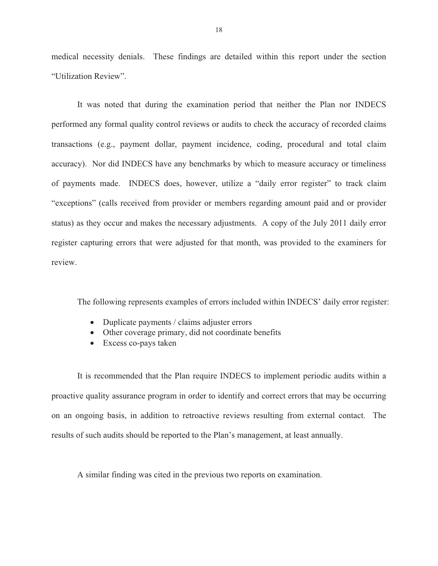medical necessity denials. These findings are detailed within this report under the section "Utilization Review".

It was noted that during the examination period that neither the Plan nor INDECS performed any formal quality control reviews or audits to check the accuracy of recorded claims transactions (e.g., payment dollar, payment incidence, coding, procedural and total claim accuracy). Nor did INDECS have any benchmarks by which to measure accuracy or timeliness of payments made. INDECS does, however, utilize a "daily error register" to track claim "exceptions" (calls received from provider or members regarding amount paid and or provider status) as they occur and makes the necessary adjustments. A copy of the July 2011 daily error register capturing errors that were adjusted for that month, was provided to the examiners for review.

The following represents examples of errors included within INDECS' daily error register:

- Duplicate payments / claims adjuster errors
- Other coverage primary, did not coordinate benefits
- Excess co-pays taken

It is recommended that the Plan require INDECS to implement periodic audits within a proactive quality assurance program in order to identify and correct errors that may be occurring on an ongoing basis, in addition to retroactive reviews resulting from external contact. The results of such audits should be reported to the Plan's management, at least annually.

A similar finding was cited in the previous two reports on examination.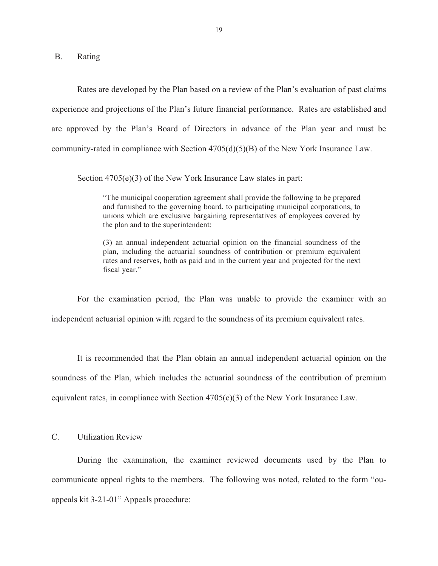B. Rating

Rates are developed by the Plan based on a review of the Plan's evaluation of past claims experience and projections of the Plan's future financial performance. Rates are established and are approved by the Plan's Board of Directors in advance of the Plan year and must be community-rated in compliance with Section  $4705(d)(5)(B)$  of the New York Insurance Law.

Section 4705(e)(3) of the New York Insurance Law states in part:

"The municipal cooperation agreement shall provide the following to be prepared and furnished to the governing board, to participating municipal corporations, to unions which are exclusive bargaining representatives of employees covered by the plan and to the superintendent:

(3) an annual independent actuarial opinion on the financial soundness of the plan, including the actuarial soundness of contribution or premium equivalent rates and reserves, both as paid and in the current year and projected for the next fiscal year."

For the examination period, the Plan was unable to provide the examiner with an independent actuarial opinion with regard to the soundness of its premium equivalent rates.

It is recommended that the Plan obtain an annual independent actuarial opinion on the soundness of the Plan, which includes the actuarial soundness of the contribution of premium equivalent rates, in compliance with Section  $4705(e)(3)$  of the New York Insurance Law.

### C. Utilization Review

During the examination, the examiner reviewed documents used by the Plan to communicate appeal rights to the members. The following was noted, related to the form "ouappeals kit 3-21-01" Appeals procedure: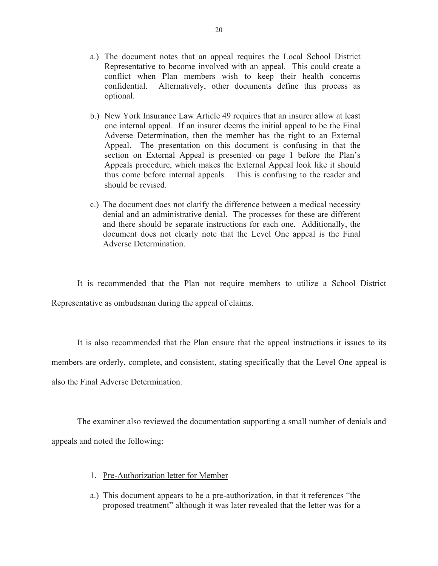- a.) The document notes that an appeal requires the Local School District Representative to become involved with an appeal. This could create a conflict when Plan members wish to keep their health concerns confidential. Alternatively, other documents define this process as optional.
- b.) New York Insurance Law Article 49 requires that an insurer allow at least one internal appeal. If an insurer deems the initial appeal to be the Final Adverse Determination, then the member has the right to an External Appeal. The presentation on this document is confusing in that the section on External Appeal is presented on page 1 before the Plan's Appeals procedure, which makes the External Appeal look like it should thus come before internal appeals. This is confusing to the reader and should be revised.
- c.) The document does not clarify the difference between a medical necessity denial and an administrative denial. The processes for these are different and there should be separate instructions for each one. Additionally, the document does not clearly note that the Level One appeal is the Final Adverse Determination.

It is recommended that the Plan not require members to utilize a School District Representative as ombudsman during the appeal of claims.

It is also recommended that the Plan ensure that the appeal instructions it issues to its members are orderly, complete, and consistent, stating specifically that the Level One appeal is also the Final Adverse Determination.

The examiner also reviewed the documentation supporting a small number of denials and appeals and noted the following:

- 1. Pre-Authorization letter for Member
- a.) This document appears to be a pre-authorization, in that it references "the proposed treatment" although it was later revealed that the letter was for a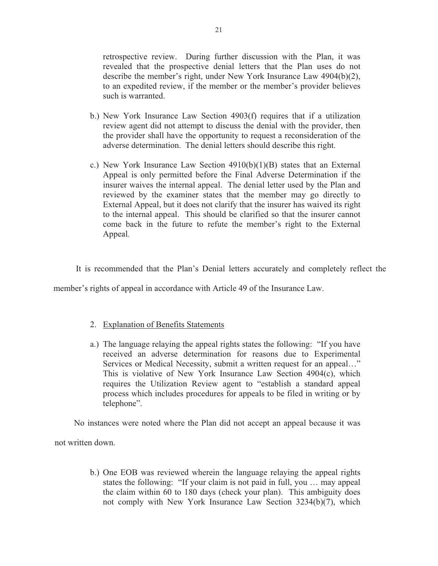retrospective review. During further discussion with the Plan, it was revealed that the prospective denial letters that the Plan uses do not describe the member's right, under New York Insurance Law 4904(b)(2), to an expedited review, if the member or the member's provider believes such is warranted.

- b.) New York Insurance Law Section 4903(f) requires that if a utilization review agent did not attempt to discuss the denial with the provider, then the provider shall have the opportunity to request a reconsideration of the adverse determination. The denial letters should describe this right.
- c.) New York Insurance Law Section 4910(b)(1)(B) states that an External Appeal is only permitted before the Final Adverse Determination if the insurer waives the internal appeal. The denial letter used by the Plan and reviewed by the examiner states that the member may go directly to External Appeal, but it does not clarify that the insurer has waived its right to the internal appeal. This should be clarified so that the insurer cannot come back in the future to refute the member's right to the External Appeal.

It is recommended that the Plan's Denial letters accurately and completely reflect the

member's rights of appeal in accordance with Article 49 of the Insurance Law.

### 2. Explanation of Benefits Statements

a.) The language relaying the appeal rights states the following: "If you have received an adverse determination for reasons due to Experimental Services or Medical Necessity, submit a written request for an appeal…" This is violative of New York Insurance Law Section 4904(c), which requires the Utilization Review agent to "establish a standard appeal process which includes procedures for appeals to be filed in writing or by telephone".

No instances were noted where the Plan did not accept an appeal because it was

not written down.

b.) One EOB was reviewed wherein the language relaying the appeal rights states the following: "If your claim is not paid in full, you … may appeal the claim within 60 to 180 days (check your plan). This ambiguity does not comply with New York Insurance Law Section 3234(b)(7), which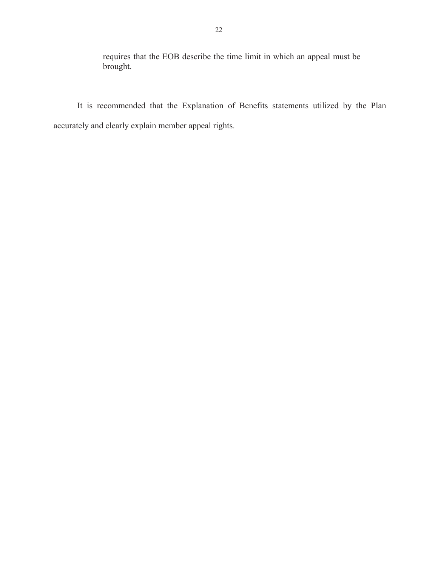requires that the EOB describe the time limit in which an appeal must be brought.

It is recommended that the Explanation of Benefits statements utilized by the Plan accurately and clearly explain member appeal rights.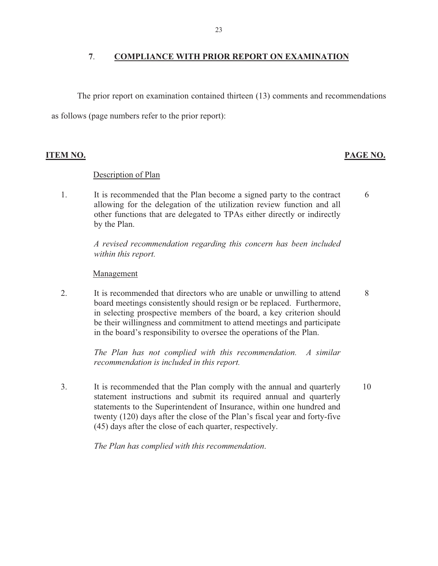### **7**. **COMPLIANCE WITH PRIOR REPORT ON EXAMINATION**

The prior report on examination contained thirteen (13) comments and recommendations as follows (page numbers refer to the prior report):

# **ITEM NO.** PAGE NO. PAGE NO. PAGE NO. PAGE NO. PAGE NO. PAGE NO. PAGE NO. PAGE NO. PAGE NO. PAGE NO. PAGE NO. PAGE NO. PAGE NO. PAGE NO. PAGE NO. PAGE NO. PAGE NO. PAGE NO. PAGE NO. PAGE NO. PAGE NO. PAGE NO. PAGE NO. PAGE

### Description of Plan

1. It is recommended that the Plan become a signed party to the contract allowing for the delegation of the utilization review function and all other functions that are delegated to TPAs either directly or indirectly by the Plan. 6

> *A revised recommendation regarding this concern has been included within this report.*

### Management

2. It is recommended that directors who are unable or unwilling to attend board meetings consistently should resign or be replaced. Furthermore, in selecting prospective members of the board, a key criterion should be their willingness and commitment to attend meetings and participate in the board's responsibility to oversee the operations of the Plan. 8

> *The Plan has not complied with this recommendation. recommendation is included in this report. A similar*

3. It is recommended that the Plan comply with the annual and quarterly statement instructions and submit its required annual and quarterly statements to the Superintendent of Insurance, within one hundred and twenty (120) days after the close of the Plan's fiscal year and forty-five (45) days after the close of each quarter, respectively. 10

*The Plan has complied with this recommendation*.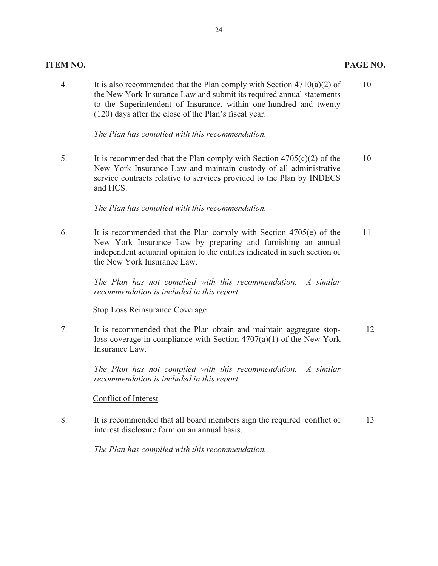4. It is also recommended that the Plan comply with Section  $4710(a)(2)$  of 10 the New York Insurance Law and submit its required annual statements to the Superintendent of Insurance, within one-hundred and twenty (120) days after the close of the Plan's fiscal year.

*The Plan has complied with this recommendation.* 

5. It is recommended that the Plan comply with Section  $4705(c)(2)$  of the 10 New York Insurance Law and maintain custody of all administrative service contracts relative to services provided to the Plan by INDECS and HCS.

*The Plan has complied with this recommendation.* 

6. It is recommended that the Plan comply with Section  $4705(e)$  of the 11 New York Insurance Law by preparing and furnishing an annual independent actuarial opinion to the entities indicated in such section of the New York Insurance Law.

> *The Plan has not complied with this recommendation. A similar recommendation is included in this report.*

Stop Loss Reinsurance Coverage

7. It is recommended that the Plan obtain and maintain aggregate stop- 12 loss coverage in compliance with Section 4707(a)(1) of the New York Insurance Law.

> *The Plan has not complied with this recommendation. A similar recommendation is included in this report.*

Conflict of Interest

8. It is recommended that all board members sign the required conflict of 13 interest disclosure form on an annual basis.

*The Plan has complied with this recommendation.* 

# **ITEM** NO. 2007. In the second contract of the second contract of the second contract of the second contract of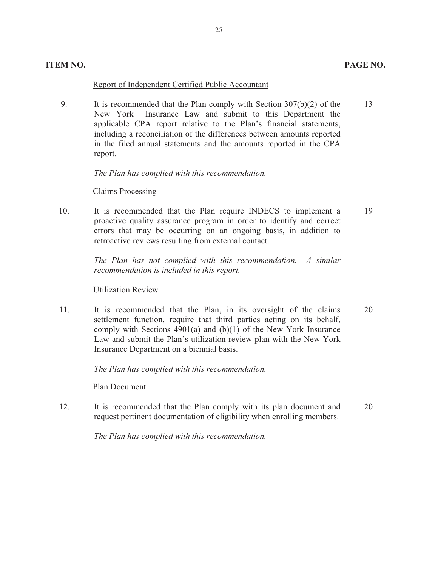### Report of Independent Certified Public Accountant

9. It is recommended that the Plan comply with Section  $307(b)(2)$  of the 13 New York Insurance Law and submit to this Department the applicable CPA report relative to the Plan's financial statements, including a reconciliation of the differences between amounts reported in the filed annual statements and the amounts reported in the CPA report.

*The Plan has complied with this recommendation.* 

### Claims Processing

10. It is recommended that the Plan require INDECS to implement a 19 proactive quality assurance program in order to identify and correct errors that may be occurring on an ongoing basis, in addition to retroactive reviews resulting from external contact.

> *The Plan has not complied with this recommendation. A similar recommendation is included in this report.*

### Utilization Review

11. It is recommended that the Plan, in its oversight of the claims 20 settlement function, require that third parties acting on its behalf, comply with Sections 4901(a) and (b)(1) of the New York Insurance Law and submit the Plan's utilization review plan with the New York Insurance Department on a biennial basis.

*The Plan has complied with this recommendation.* 

**Plan Document** 

12. It is recommended that the Plan comply with its plan document and 20 request pertinent documentation of eligibility when enrolling members.

*The Plan has complied with this recommendation.* 

25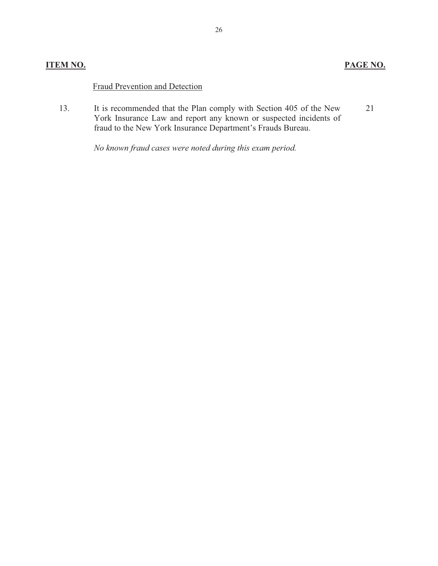### Fraud Prevention and Detection

21 13. It is recommended that the Plan comply with Section 405 of the New York Insurance Law and report any known or suspected incidents of fraud to the New York Insurance Department's Frauds Bureau.

*No known fraud cases were noted during this exam period.*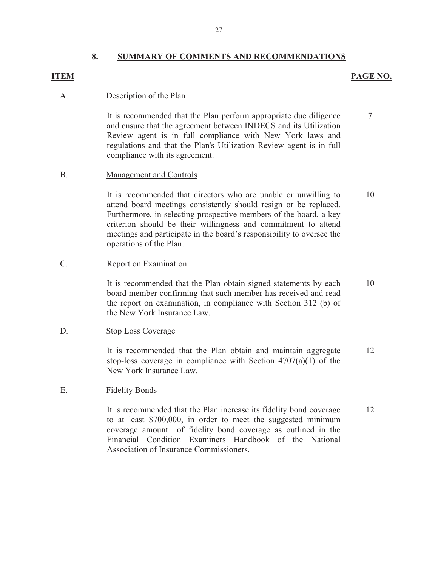### 8. **8. SUMMARY OF COMMENTS AND RECOMMENDATIONS**

# **ITEM** PAGE NO. 2007 THE RESEARCH SERVICE SERVICE SERVICE SERVICE SERVICE SERVICE SERVICE SERVICE SERVICE SERVICE

### A. Description of the Plan

It is recommended that the Plan perform appropriate due diligence and ensure that the agreement between INDECS and its Utilization Review agent is in full compliance with New York laws and regulations and that the Plan's Utilization Review agent is in full compliance with its agreement. 7

### B. Management and Controls

attend board meetings consistently should resign or be replaced. It is recommended that directors who are unable or unwilling to Furthermore, in selecting prospective members of the board, a key criterion should be their willingness and commitment to attend meetings and participate in the board's responsibility to oversee the operations of the Plan. 10

### C. Report on Examination

It is recommended that the Plan obtain signed statements by each board member confirming that such member has received and read the report on examination, in compliance with Section 312 (b) of the New York Insurance Law. 10

### D. Stop Loss Coverage

It is recommended that the Plan obtain and maintain aggregate stop-loss coverage in compliance with Section  $4707(a)(1)$  of the New York Insurance Law. 12

### E. Fidelity Bonds

It is recommended that the Plan increase its fidelity bond coverage to at least \$700,000, in order to meet the suggested minimum coverage amount of fidelity bond coverage as outlined in the Financial Condition Examiners Handbook of the National Association of Insurance Commissioners. 12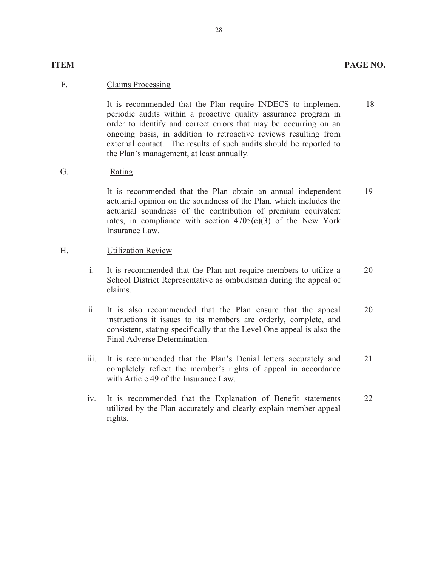# **ITEM** PAGE NO. 2008. In the second contract of the second contract of the second contract of the second contract of

### F. Claims Processing

It is recommended that the Plan require INDECS to implement periodic audits within a proactive quality assurance program in order to identify and correct errors that may be occurring on an ongoing basis, in addition to retroactive reviews resulting from external contact. The results of such audits should be reported to the Plan's management, at least annually. 18

G. Rating

It is recommended that the Plan obtain an annual independent actuarial opinion on the soundness of the Plan, which includes the actuarial soundness of the contribution of premium equivalent rates, in compliance with section 4705(e)(3) of the New York Insurance Law. 19

### H. Utilization Review

- i. It is recommended that the Plan not require members to utilize a School District Representative as ombudsman during the appeal of claims. 20
- ii. It is also recommended that the Plan ensure that the appeal instructions it issues to its members are orderly, complete, and consistent, stating specifically that the Level One appeal is also the Final Adverse Determination. 20
- iii. It is recommended that the Plan's Denial letters accurately and completely reflect the member's rights of appeal in accordance with Article 49 of the Insurance Law. 21
- iv. It is recommended that the Explanation of Benefit statements utilized by the Plan accurately and clearly explain member appeal rights. 22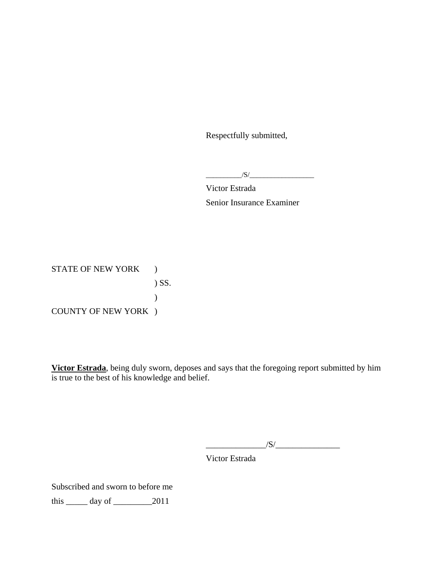Respectfully submitted,

\_\_\_\_\_\_\_\_\_\_/S/\_\_\_\_\_\_\_\_\_\_\_\_\_\_\_\_\_\_

Victor Estrada Senior Insurance Examiner

STATE OF NEW YORK COUNTY OF NEW YORK )  $\mathcal{L}$  ) SS. )

**Victor Estrada**, being duly sworn, deposes and says that the foregoing report submitted by him is true to the best of his knowledge and belief.

 $\frac{1}{S}$ 

Victor Estrada

Subscribed and sworn to before me

this \_\_\_\_\_ day of \_\_\_\_\_\_\_\_\_2011